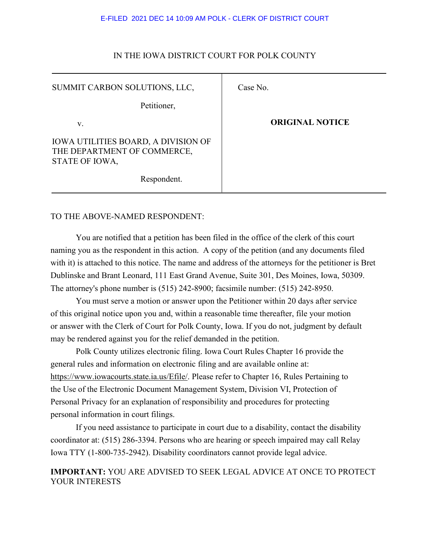#### E-FILED 2021 DEC 14 10:09 AM POLK - CLERK OF DISTRICT COURT

| SUMMIT CARBON SOLUTIONS, LLC,                                                        | Case No.               |
|--------------------------------------------------------------------------------------|------------------------|
| Petitioner,                                                                          |                        |
| V.                                                                                   | <b>ORIGINAL NOTICE</b> |
| IOWA UTILITIES BOARD, A DIVISION OF<br>THE DEPARTMENT OF COMMERCE,<br>STATE OF IOWA, |                        |
| Respondent.                                                                          |                        |

## IN THE IOWA DISTRICT COURT FOR POLK COUNTY

## TO THE ABOVE-NAMED RESPONDENT:

You are notified that a petition has been filed in the office of the clerk of this court naming you as the respondent in this action. A copy of the petition (and any documents filed with it) is attached to this notice. The name and address of the attorneys for the petitioner is Bret Dublinske and Brant Leonard, 111 East Grand Avenue, Suite 301, Des Moines, Iowa, 50309. The attorney's phone number is (515) 242-8900; facsimile number: (515) 242-8950.

You must serve a motion or answer upon the Petitioner within 20 days after service of this original notice upon you and, within a reasonable time thereafter, file your motion or answer with the Clerk of Court for Polk County, Iowa. If you do not, judgment by default may be rendered against you for the relief demanded in the petition.

Polk County utilizes electronic filing. Iowa Court Rules Chapter 16 provide the general rules and information on electronic filing and are available online at: https://www.iowacourts.state.ia.us/Efile/. Please refer to Chapter 16, Rules Pertaining to the Use of the Electronic Document Management System, Division VI, Protection of Personal Privacy for an explanation of responsibility and procedures for protecting personal information in court filings.

If you need assistance to participate in court due to a disability, contact the disability coordinator at: (515) 286-3394. Persons who are hearing or speech impaired may call Relay Iowa TTY (1-800-735-2942). Disability coordinators cannot provide legal advice.

## **IMPORTANT:** YOU ARE ADVISED TO SEEK LEGAL ADVICE AT ONCE TO PROTECT YOUR INTERESTS